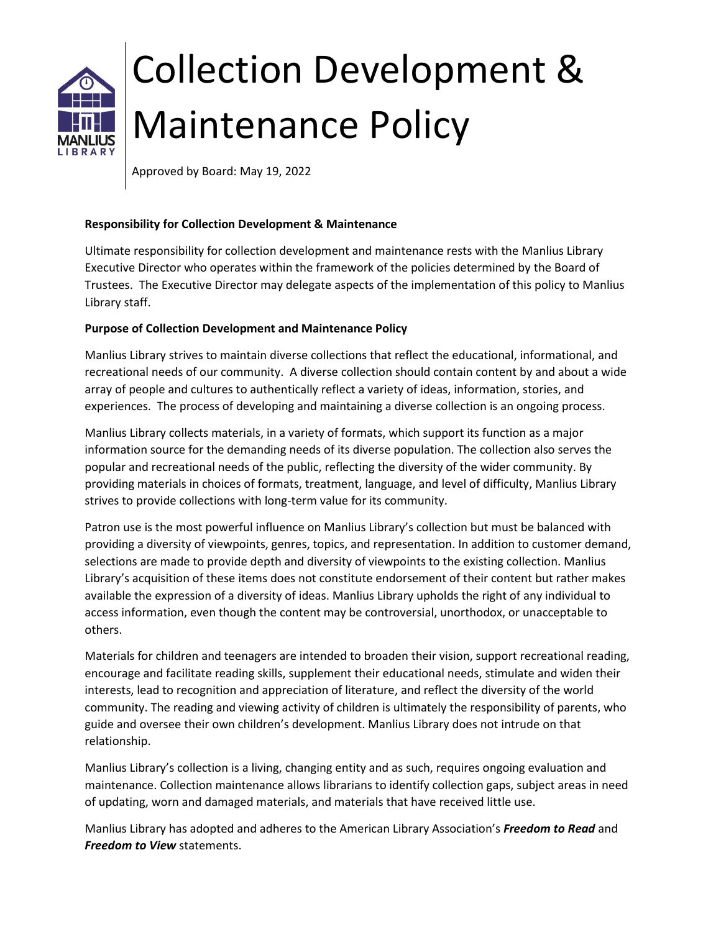

# Collection Development & Maintenance Policy

Approved by Board: May 19, 2022

## **Responsibility for Collection Development & Maintenance**

Ultimate responsibility for collection development and maintenance rests with the Manlius Library Executive Director who operates within the framework of the policies determined by the Board of Trustees. The Executive Director may delegate aspects of the implementation of this policy to Manlius Library staff.

### **Purpose of Collection Development and Maintenance Policy**

Manlius Library strives to maintain diverse collections that reflect the educational, informational, and recreational needs of our community. A diverse collection should contain content by and about a wide array of people and cultures to authentically reflect a variety of ideas, information, stories, and experiences. The process of developing and maintaining a diverse collection is an ongoing process.

Manlius Library collects materials, in a variety of formats, which support its function as a major information source for the demanding needs of its diverse population. The collection also serves the popular and recreational needs of the public, reflecting the diversity of the wider community. By providing materials in choices of formats, treatment, language, and level of difficulty, Manlius Library strives to provide collections with long-term value for its community.

Patron use is the most powerful influence on Manlius Library's collection but must be balanced with providing a diversity of viewpoints, genres, topics, and representation. In addition to customer demand, selections are made to provide depth and diversity of viewpoints to the existing collection. Manlius Library's acquisition of these items does not constitute endorsement of their content but rather makes available the expression of a diversity of ideas. Manlius Library upholds the right of any individual to access information, even though the content may be controversial, unorthodox, or unacceptable to others.

Materials for children and teenagers are intended to broaden their vision, support recreational reading, encourage and facilitate reading skills, supplement their educational needs, stimulate and widen their interests, lead to recognition and appreciation of literature, and reflect the diversity of the world community. The reading and viewing activity of children is ultimately the responsibility of parents, who guide and oversee their own children's development. Manlius Library does not intrude on that relationship.

Manlius Library's collection is a living, changing entity and as such, requires ongoing evaluation and maintenance. Collection maintenance allows librarians to identify collection gaps, subject areas in need of updating, worn and damaged materials, and materials that have received little use.

Manlius Library has adopted and adheres to the American Library Association's *Freedom to Read* and *Freedom to View* statements.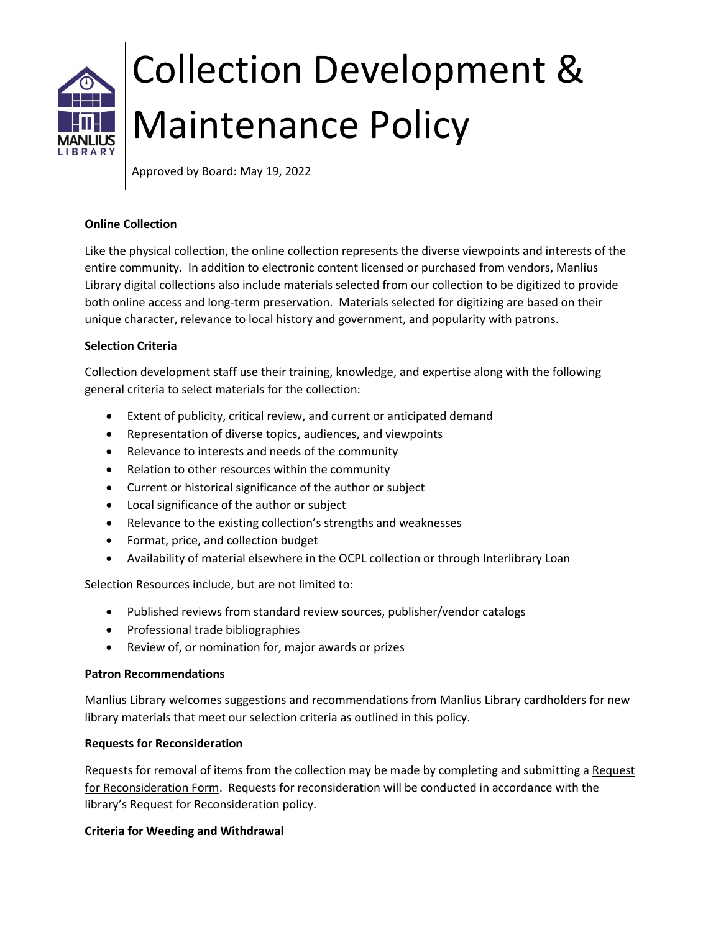

# Collection Development & Maintenance Policy

Approved by Board: May 19, 2022

### **Online Collection**

Like the physical collection, the online collection represents the diverse viewpoints and interests of the entire community. In addition to electronic content licensed or purchased from vendors, Manlius Library digital collections also include materials selected from our collection to be digitized to provide both online access and long-term preservation. Materials selected for digitizing are based on their unique character, relevance to local history and government, and popularity with patrons.

### **Selection Criteria**

Collection development staff use their training, knowledge, and expertise along with the following general criteria to select materials for the collection:

- Extent of publicity, critical review, and current or anticipated demand
- Representation of diverse topics, audiences, and viewpoints
- Relevance to interests and needs of the community
- Relation to other resources within the community
- Current or historical significance of the author or subject
- Local significance of the author or subject
- Relevance to the existing collection's strengths and weaknesses
- Format, price, and collection budget
- Availability of material elsewhere in the OCPL collection or through Interlibrary Loan

Selection Resources include, but are not limited to:

- Published reviews from standard review sources, publisher/vendor catalogs
- Professional trade bibliographies
- Review of, or nomination for, major awards or prizes

#### **Patron Recommendations**

Manlius Library welcomes suggestions and recommendations from Manlius Library cardholders for new library materials that meet our selection criteria as outlined in this policy.

## **Requests for Reconsideration**

Requests for removal of items from the collection may be made by completing and submitting a Request for Reconsideration Form. Requests for reconsideration will be conducted in accordance with the library's Request for Reconsideration policy.

#### **Criteria for Weeding and Withdrawal**